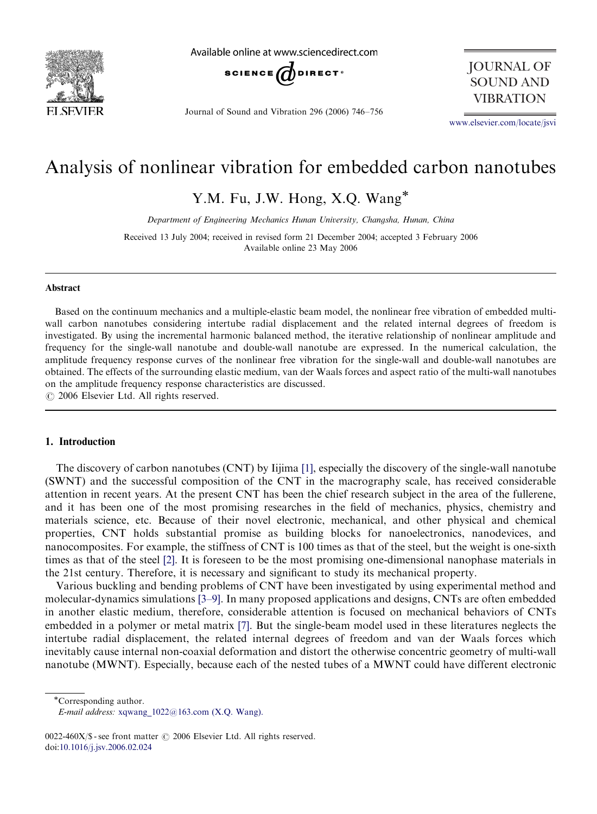

Available online at www.sciencedirect.com



Journal of Sound and Vibration 296 (2006) 746–756

JOURNAL OF SOUND AND VIBRATION

<www.elsevier.com/locate/jsvi>

# Analysis of nonlinear vibration for embedded carbon nanotubes

Y.M. Fu, J.W. Hong, X.Q. Wang

Department of Engineering Mechanics Hunan University, Changsha, Hunan, China

Received 13 July 2004; received in revised form 21 December 2004; accepted 3 February 2006 Available online 23 May 2006

#### Abstract

Based on the continuum mechanics and a multiple-elastic beam model, the nonlinear free vibration of embedded multiwall carbon nanotubes considering intertube radial displacement and the related internal degrees of freedom is investigated. By using the incremental harmonic balanced method, the iterative relationship of nonlinear amplitude and frequency for the single-wall nanotube and double-wall nanotube are expressed. In the numerical calculation, the amplitude frequency response curves of the nonlinear free vibration for the single-wall and double-wall nanotubes are obtained. The effects of the surrounding elastic medium, van der Waals forces and aspect ratio of the multi-wall nanotubes on the amplitude frequency response characteristics are discussed.

 $O$  2006 Elsevier Ltd. All rights reserved.

## 1. Introduction

The discovery of carbon nanotubes (CNT) by Iijima [\[1\],](#page-9-0) especially the discovery of the single-wall nanotube (SWNT) and the successful composition of the CNT in the macrography scale, has received considerable attention in recent years. At the present CNT has been the chief research subject in the area of the fullerene, and it has been one of the most promising researches in the field of mechanics, physics, chemistry and materials science, etc. Because of their novel electronic, mechanical, and other physical and chemical properties, CNT holds substantial promise as building blocks for nanoelectronics, nanodevices, and nanocomposites. For example, the stiffness of CNT is 100 times as that of the steel, but the weight is one-sixth times as that of the steel [\[2\]](#page-9-0). It is foreseen to be the most promising one-dimensional nanophase materials in the 21st century. Therefore, it is necessary and significant to study its mechanical property.

Various buckling and bending problems of CNT have been investigated by using experimental method and molecular-dynamics simulations [\[3–9\]](#page-9-0). In many proposed applications and designs, CNTs are often embedded in another elastic medium, therefore, considerable attention is focused on mechanical behaviors of CNTs embedded in a polymer or metal matrix [\[7\].](#page-9-0) But the single-beam model used in these literatures neglects the intertube radial displacement, the related internal degrees of freedom and van der Waals forces which inevitably cause internal non-coaxial deformation and distort the otherwise concentric geometry of multi-wall nanotube (MWNT). Especially, because each of the nested tubes of a MWNT could have different electronic

Corresponding author.

E-mail address: [xqwang\\_1022@163.com \(X.Q. Wang\).](mailto:xqwang_1022@163.com)

<sup>0022-460</sup>X/\$ - see front matter  $\odot$  2006 Elsevier Ltd. All rights reserved. doi[:10.1016/j.jsv.2006.02.024](dx.doi.org/10.1016/j.jsv.2006.02.024)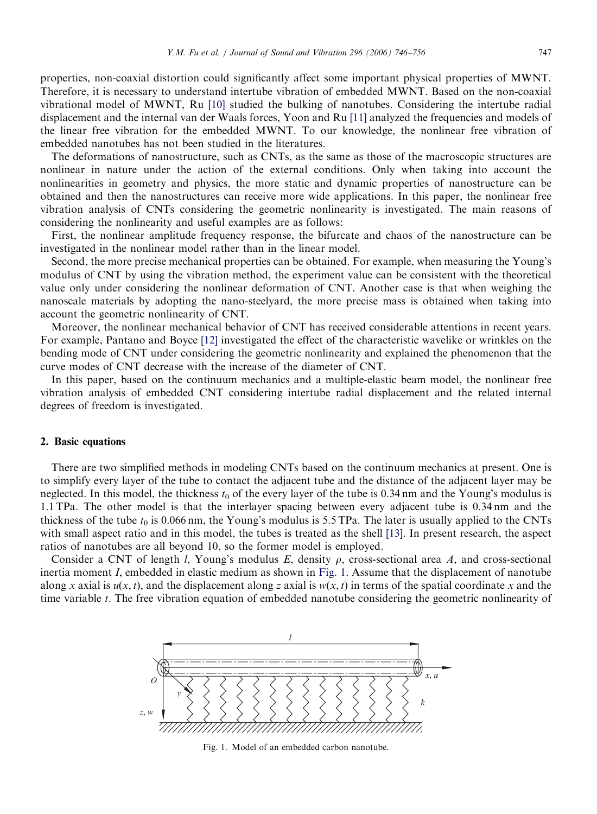properties, non-coaxial distortion could significantly affect some important physical properties of MWNT. Therefore, it is necessary to understand intertube vibration of embedded MWNT. Based on the non-coaxial vibrational model of MWNT, Ru [\[10\]](#page-9-0) studied the bulking of nanotubes. Considering the intertube radial displacement and the internal van der Waals forces, Yoon and Ru [\[11\]](#page-9-0) analyzed the frequencies and models of the linear free vibration for the embedded MWNT. To our knowledge, the nonlinear free vibration of embedded nanotubes has not been studied in the literatures.

The deformations of nanostructure, such as CNTs, as the same as those of the macroscopic structures are nonlinear in nature under the action of the external conditions. Only when taking into account the nonlinearities in geometry and physics, the more static and dynamic properties of nanostructure can be obtained and then the nanostructures can receive more wide applications. In this paper, the nonlinear free vibration analysis of CNTs considering the geometric nonlinearity is investigated. The main reasons of considering the nonlinearity and useful examples are as follows:

First, the nonlinear amplitude frequency response, the bifurcate and chaos of the nanostructure can be investigated in the nonlinear model rather than in the linear model.

Second, the more precise mechanical properties can be obtained. For example, when measuring the Young's modulus of CNT by using the vibration method, the experiment value can be consistent with the theoretical value only under considering the nonlinear deformation of CNT. Another case is that when weighing the nanoscale materials by adopting the nano-steelyard, the more precise mass is obtained when taking into account the geometric nonlinearity of CNT.

Moreover, the nonlinear mechanical behavior of CNT has received considerable attentions in recent years. For example, Pantano and Boyce [\[12\]](#page-9-0) investigated the effect of the characteristic wavelike or wrinkles on the bending mode of CNT under considering the geometric nonlinearity and explained the phenomenon that the curve modes of CNT decrease with the increase of the diameter of CNT.

In this paper, based on the continuum mechanics and a multiple-elastic beam model, the nonlinear free vibration analysis of embedded CNT considering intertube radial displacement and the related internal degrees of freedom is investigated.

## 2. Basic equations

There are two simplified methods in modeling CNTs based on the continuum mechanics at present. One is to simplify every layer of the tube to contact the adjacent tube and the distance of the adjacent layer may be neglected. In this model, the thickness  $t_0$  of the every layer of the tube is 0.34 nm and the Young's modulus is 1.1 TPa. The other model is that the interlayer spacing between every adjacent tube is 0.34 nm and the thickness of the tube  $t_0$  is 0.066 nm, the Young's modulus is 5.5 TPa. The later is usually applied to the CNTs with small aspect ratio and in this model, the tubes is treated as the shell [\[13\].](#page-9-0) In present research, the aspect ratios of nanotubes are all beyond 10, so the former model is employed.

Consider a CNT of length *l*, Young's modulus E, density  $\rho$ , cross-sectional area A, and cross-sectional inertia moment I, embedded in elastic medium as shown in Fig. 1. Assume that the displacement of nanotube along x axial is  $u(x, t)$ , and the displacement along z axial is  $w(x, t)$  in terms of the spatial coordinate x and the time variable t. The free vibration equation of embedded nanotube considering the geometric nonlinearity of



Fig. 1. Model of an embedded carbon nanotube.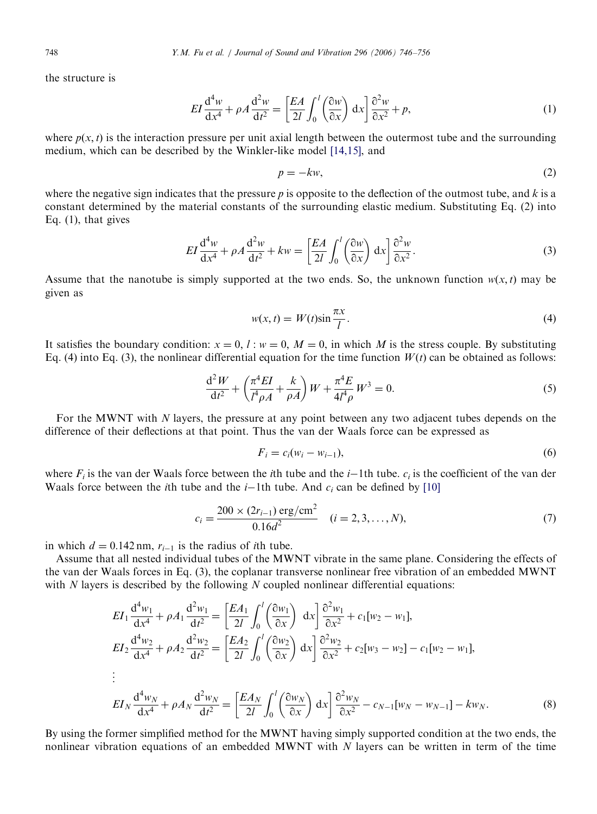the structure is

$$
EI\frac{d^4w}{dx^4} + \rho A \frac{d^2w}{dt^2} = \left[\frac{EA}{2l} \int_0^l \left(\frac{\partial w}{\partial x}\right) dx\right] \frac{\partial^2 w}{\partial x^2} + p,\tag{1}
$$

where  $p(x, t)$  is the interaction pressure per unit axial length between the outermost tube and the surrounding medium, which can be described by the Winkler-like model [\[14,15\]](#page-10-0), and

$$
p = -kw,\tag{2}
$$

where the negative sign indicates that the pressure  $p$  is opposite to the deflection of the outmost tube, and  $k$  is a constant determined by the material constants of the surrounding elastic medium. Substituting Eq. (2) into Eq. (1), that gives

$$
EI\frac{d^4w}{dx^4} + \rho A\frac{d^2w}{dt^2} + kw = \left[\frac{EA}{2l} \int_0^l \left(\frac{\partial w}{\partial x}\right) dx\right] \frac{\partial^2 w}{\partial x^2}.
$$
 (3)

Assume that the nanotube is simply supported at the two ends. So, the unknown function  $w(x, t)$  may be given as

$$
w(x,t) = W(t)\sin\frac{\pi x}{l}.\tag{4}
$$

It satisfies the boundary condition:  $x = 0$ ,  $l : w = 0$ ,  $M = 0$ , in which M is the stress couple. By substituting Eq. (4) into Eq. (3), the nonlinear differential equation for the time function  $W(t)$  can be obtained as follows:

$$
\frac{d^2 W}{dt^2} + \left(\frac{\pi^4 EI}{l^4 \rho A} + \frac{k}{\rho A}\right) W + \frac{\pi^4 E}{4l^4 \rho} W^3 = 0.
$$
 (5)

For the MWNT with N layers, the pressure at any point between any two adjacent tubes depends on the difference of their deflections at that point. Thus the van der Waals force can be expressed as

$$
F_i = c_i(w_i - w_{i-1}),\tag{6}
$$

where  $F_i$  is the van der Waals force between the *i*th tube and the *i*-1th tube.  $c_i$  is the coefficient of the van der Waals force between the *i*th tube and the *i*-1th tube. And  $c_i$  can be defined by [\[10\]](#page-9-0)

$$
c_i = \frac{200 \times (2r_{i-1}) \text{ erg/cm}^2}{0.16d^2} \quad (i = 2, 3, ..., N),
$$
 (7)

in which  $d = 0.142$  nm,  $r_{i-1}$  is the radius of *i*th tube.

Assume that all nested individual tubes of the MWNT vibrate in the same plane. Considering the effects of the van der Waals forces in Eq. (3), the coplanar transverse nonlinear free vibration of an embedded MWNT with  $N$  layers is described by the following  $N$  coupled nonlinear differential equations:

$$
EI_1 \frac{d^4 w_1}{dx^4} + \rho A_1 \frac{d^2 w_1}{dt^2} = \left[ \frac{EA_1}{2l} \int_0^l \left( \frac{\partial w_1}{\partial x} \right) dx \right] \frac{\partial^2 w_1}{\partial x^2} + c_1 [w_2 - w_1],
$$
  
\n
$$
EI_2 \frac{d^4 w_2}{dx^4} + \rho A_2 \frac{d^2 w_2}{dt^2} = \left[ \frac{EA_2}{2l} \int_0^l \left( \frac{\partial w_2}{\partial x} \right) dx \right] \frac{\partial^2 w_2}{\partial x^2} + c_2 [w_3 - w_2] - c_1 [w_2 - w_1],
$$
  
\n
$$
\vdots
$$
  
\n
$$
EI_N \frac{d^4 w_N}{dx^4} + \rho A_N \frac{d^2 w_N}{dt^2} = \left[ \frac{EA_N}{2l} \int_0^l \left( \frac{\partial w_N}{\partial x} \right) dx \right] \frac{\partial^2 w_N}{\partial x^2} - c_{N-1} [w_N - w_{N-1}] - kw_N.
$$
  
\n(8)

By using the former simplified method for the MWNT having simply supported condition at the two ends, the nonlinear vibration equations of an embedded MWNT with  $N$  layers can be written in term of the time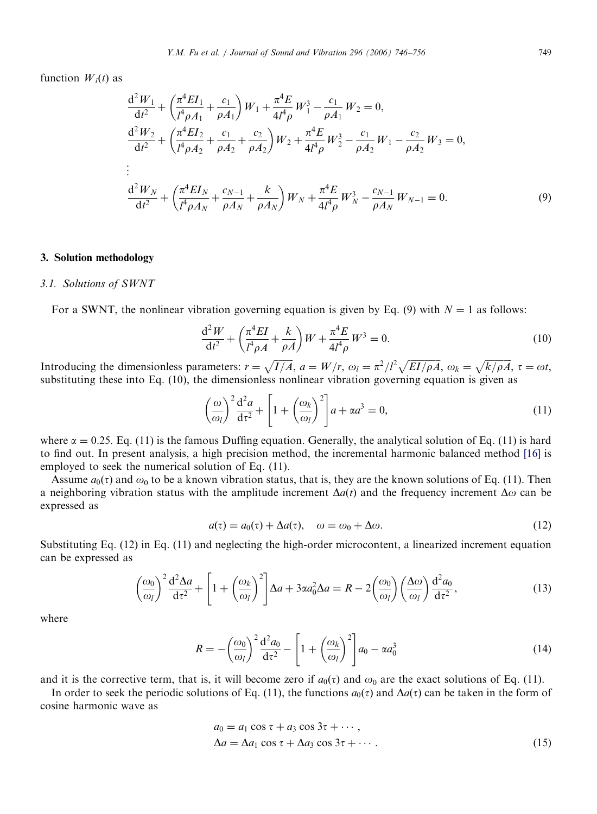function  $W_i(t)$  as

$$
\frac{d^2 W_1}{dt^2} + \left(\frac{\pi^4 EI_1}{l^4 \rho A_1} + \frac{c_1}{\rho A_1}\right) W_1 + \frac{\pi^4 E}{4l^4 \rho} W_1^3 - \frac{c_1}{\rho A_1} W_2 = 0,
$$
\n
$$
\frac{d^2 W_2}{dt^2} + \left(\frac{\pi^4 EI_2}{l^4 \rho A_2} + \frac{c_1}{\rho A_2} + \frac{c_2}{\rho A_2}\right) W_2 + \frac{\pi^4 E}{4l^4 \rho} W_2^3 - \frac{c_1}{\rho A_2} W_1 - \frac{c_2}{\rho A_2} W_3 = 0,
$$
\n
$$
\vdots
$$
\n
$$
\frac{d^2 W_N}{dt^2} + \left(\frac{\pi^4 EI_N}{l^4 \rho A_N} + \frac{c_{N-1}}{\rho A_N} + \frac{k}{\rho A_N}\right) W_N + \frac{\pi^4 E}{4l^4 \rho} W_N^3 - \frac{c_{N-1}}{\rho A_N} W_{N-1} = 0.
$$
\n(9)

#### 3. Solution methodology

#### 3.1. Solutions of SWNT

For a SWNT, the nonlinear vibration governing equation is given by Eq. (9) with  $N = 1$  as follows:

$$
\frac{d^2 W}{dt^2} + \left(\frac{\pi^4 EI}{l^4 \rho A} + \frac{k}{\rho A}\right)W + \frac{\pi^4 E}{4l^4 \rho}W^3 = 0.
$$
 (10)

Introducing the dimensionless parameters:  $r = \sqrt{I/A}$ ,  $a = W/r$ ,  $\omega_l = \pi^2/l^2 \sqrt{EI/\rho A}$ ,  $\omega_k = \sqrt{k/\rho A}$ ,  $\tau = \omega t$ , substituting these into Eq. (10), the dimensionless nonlinear vibration governing equation is given as

$$
\left(\frac{\omega}{\omega_l}\right)^2 \frac{\mathrm{d}^2 a}{\mathrm{d}\tau^2} + \left[1 + \left(\frac{\omega_k}{\omega_l}\right)^2\right] a + \alpha a^3 = 0,\tag{11}
$$

where  $\alpha = 0.25$ . Eq. (11) is the famous Duffing equation. Generally, the analytical solution of Eq. (11) is hard to find out. In present analysis, a high precision method, the incremental harmonic balanced method [\[16\]](#page-10-0) is employed to seek the numerical solution of Eq. (11).

Assume  $a_0(\tau)$  and  $\omega_0$  to be a known vibration status, that is, they are the known solutions of Eq. (11). Then a neighboring vibration status with the amplitude increment  $\Delta a(t)$  and the frequency increment  $\Delta \omega$  can be expressed as

$$
a(\tau) = a_0(\tau) + \Delta a(\tau), \quad \omega = \omega_0 + \Delta \omega.
$$
 (12)

Substituting Eq. (12) in Eq. (11) and neglecting the high-order microcontent, a linearized increment equation can be expressed as

$$
\left(\frac{\omega_0}{\omega_l}\right)^2 \frac{\mathrm{d}^2 \Delta a}{\mathrm{d} \tau^2} + \left[1 + \left(\frac{\omega_k}{\omega_l}\right)^2\right] \Delta a + 3\alpha a_0^2 \Delta a = R - 2\left(\frac{\omega_0}{\omega_l}\right) \left(\frac{\Delta \omega}{\omega_l}\right) \frac{\mathrm{d}^2 a_0}{\mathrm{d} \tau^2},\tag{13}
$$

where

$$
R = -\left(\frac{\omega_0}{\omega_l}\right)^2 \frac{\mathrm{d}^2 a_0}{\mathrm{d}\tau^2} - \left[1 + \left(\frac{\omega_k}{\omega_l}\right)^2\right] a_0 - \alpha a_0^3 \tag{14}
$$

and it is the corrective term, that is, it will become zero if  $a_0(\tau)$  and  $\omega_0$  are the exact solutions of Eq. (11).

In order to seek the periodic solutions of Eq. (11), the functions  $a_0(\tau)$  and  $\Delta a(\tau)$  can be taken in the form of cosine harmonic wave as

$$
a_0 = a_1 \cos \tau + a_3 \cos 3\tau + \cdots,
$$
  
\n
$$
\Delta a = \Delta a_1 \cos \tau + \Delta a_3 \cos 3\tau + \cdots.
$$
\n(15)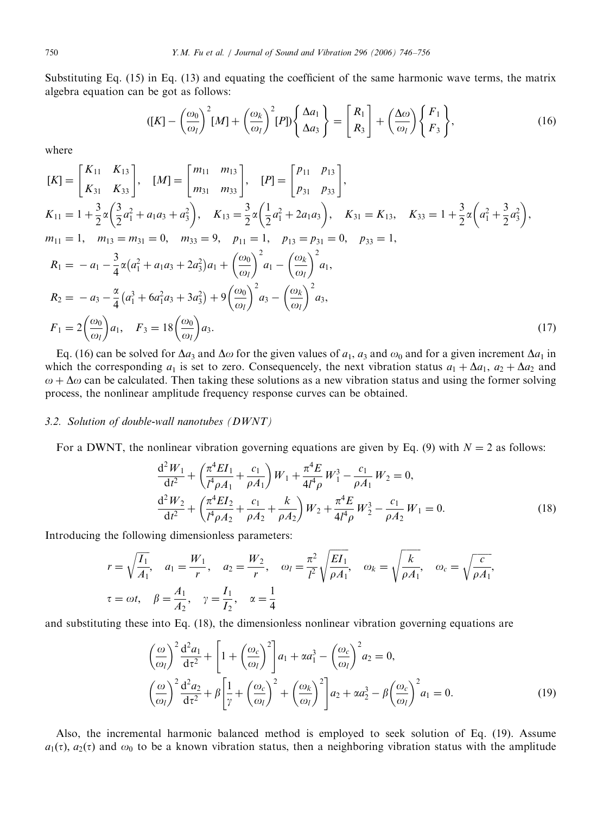Substituting Eq. (15) in Eq. (13) and equating the coefficient of the same harmonic wave terms, the matrix algebra equation can be got as follows:

$$
([K] - \left(\frac{\omega_0}{\omega_l}\right)^2 [M] + \left(\frac{\omega_k}{\omega_l}\right)^2 [P]) \left\{\frac{\Delta a_1}{\Delta a_3}\right\} = \left[\frac{R_1}{R_3}\right] + \left(\frac{\Delta \omega}{\omega_l}\right) \left\{\frac{F_1}{F_3}\right\},\tag{16}
$$

where

$$
[K] = \begin{bmatrix} K_{11} & K_{13} \\ K_{31} & K_{33} \end{bmatrix}, [M] = \begin{bmatrix} m_{11} & m_{13} \\ m_{31} & m_{33} \end{bmatrix}, [P] = \begin{bmatrix} p_{11} & p_{13} \\ p_{31} & p_{33} \end{bmatrix},
$$
  
\n
$$
K_{11} = 1 + \frac{3}{2}\alpha \left(\frac{3}{2}a_1^2 + a_1a_3 + a_3^2\right), K_{13} = \frac{3}{2}\alpha \left(\frac{1}{2}a_1^2 + 2a_1a_3\right), K_{31} = K_{13}, K_{33} = 1 + \frac{3}{2}\alpha \left(a_1^2 + \frac{3}{2}a_3^2\right),
$$
  
\n
$$
m_{11} = 1, m_{13} = m_{31} = 0, m_{33} = 9, p_{11} = 1, p_{13} = p_{31} = 0, p_{33} = 1,
$$
  
\n
$$
R_1 = -a_1 - \frac{3}{4}\alpha (a_1^2 + a_1a_3 + 2a_3^2)a_1 + \left(\frac{\omega_0}{\omega_1}\right)^2 a_1 - \left(\frac{\omega_k}{\omega_1}\right)^2 a_1,
$$
  
\n
$$
R_2 = -a_3 - \frac{\alpha}{4} (a_1^3 + 6a_1^2a_3 + 3a_3^2) + 9\left(\frac{\omega_0}{\omega_1}\right)^2 a_3 - \left(\frac{\omega_k}{\omega_1}\right)^2 a_3,
$$
  
\n
$$
F_1 = 2\left(\frac{\omega_0}{\omega_1}\right)a_1, F_3 = 18\left(\frac{\omega_0}{\omega_1}\right)a_3.
$$
  
\n(17)

Eq. (16) can be solved for  $\Delta a_3$  and  $\Delta \omega$  for the given values of  $a_1$ ,  $a_3$  and  $\omega_0$  and for a given increment  $\Delta a_1$  in which the corresponding  $a_1$  is set to zero. Consequencely, the next vibration status  $a_1 + \Delta a_1$ ,  $a_2 + \Delta a_2$  and  $\omega + \Delta \omega$  can be calculated. Then taking these solutions as a new vibration status and using the former solving process, the nonlinear amplitude frequency response curves can be obtained.

# 3.2. Solution of double-wall nanotubes (DWNT)

For a DWNT, the nonlinear vibration governing equations are given by Eq. (9) with  $N = 2$  as follows:

$$
\frac{d^2 W_1}{dt^2} + \left(\frac{\pi^4 EI_1}{l^4 \rho A_1} + \frac{c_1}{\rho A_1}\right) W_1 + \frac{\pi^4 E}{4l^4 \rho} W_1^3 - \frac{c_1}{\rho A_1} W_2 = 0,
$$
\n
$$
\frac{d^2 W_2}{dt^2} + \left(\frac{\pi^4 EI_2}{l^4 \rho A_2} + \frac{c_1}{\rho A_2} + \frac{k}{\rho A_2}\right) W_2 + \frac{\pi^4 E}{4l^4 \rho} W_2^3 - \frac{c_1}{\rho A_2} W_1 = 0.
$$
\n(18)

Introducing the following dimensionless parameters:

$$
r = \sqrt{\frac{I_1}{A_1}}, \quad a_1 = \frac{W_1}{r}, \quad a_2 = \frac{W_2}{r}, \quad \omega_l = \frac{\pi^2}{l^2} \sqrt{\frac{EI_1}{\rho A_1}}, \quad \omega_k = \sqrt{\frac{k}{\rho A_1}}, \quad \omega_c = \sqrt{\frac{c}{\rho A_1}},
$$
  
 $\tau = \omega t, \quad \beta = \frac{A_1}{A_2}, \quad \gamma = \frac{I_1}{I_2}, \quad \alpha = \frac{1}{4}$ 

and substituting these into Eq. (18), the dimensionless nonlinear vibration governing equations are

$$
\left(\frac{\omega}{\omega_l}\right)^2 \frac{d^2 a_1}{dt^2} + \left[1 + \left(\frac{\omega_c}{\omega_l}\right)^2\right] a_1 + \alpha a_1^3 - \left(\frac{\omega_c}{\omega_l}\right)^2 a_2 = 0,
$$
\n
$$
\left(\frac{\omega}{\omega_l}\right)^2 \frac{d^2 a_2}{dt^2} + \beta \left[\frac{1}{\gamma} + \left(\frac{\omega_c}{\omega_l}\right)^2 + \left(\frac{\omega_k}{\omega_l}\right)^2\right] a_2 + \alpha a_2^3 - \beta \left(\frac{\omega_c}{\omega_l}\right)^2 a_1 = 0.
$$
\n(19)

Also, the incremental harmonic balanced method is employed to seek solution of Eq. (19). Assume  $a_1(\tau)$ ,  $a_2(\tau)$  and  $\omega_0$  to be a known vibration status, then a neighboring vibration status with the amplitude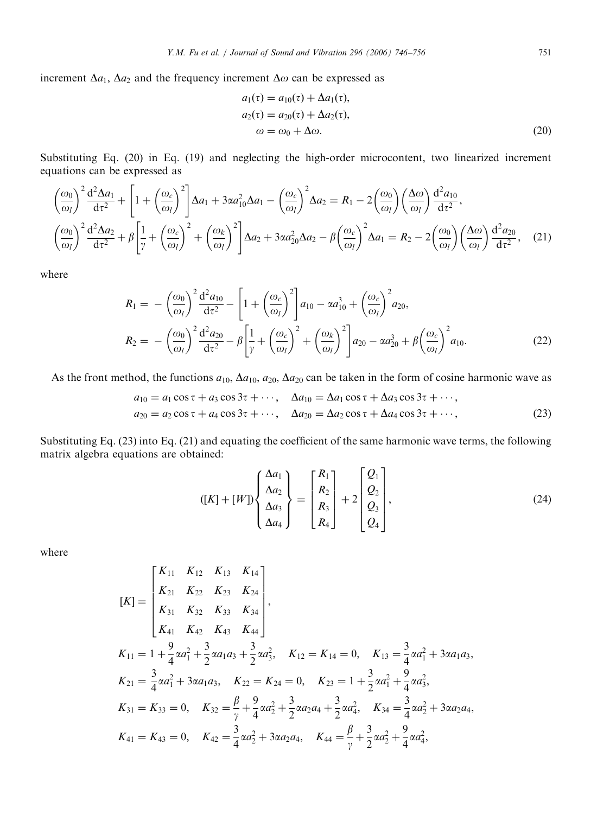increment  $\Delta a_1$ ,  $\Delta a_2$  and the frequency increment  $\Delta \omega$  can be expressed as

$$
a_1(\tau) = a_{10}(\tau) + \Delta a_1(\tau),
$$
  
\n
$$
a_2(\tau) = a_{20}(\tau) + \Delta a_2(\tau),
$$
  
\n
$$
\omega = \omega_0 + \Delta \omega.
$$
\n(20)

Substituting Eq. (20) in Eq. (19) and neglecting the high-order microcontent, two linearized increment equations can be expressed as

$$
\left(\frac{\omega_0}{\omega_l}\right)^2 \frac{d^2 \Delta a_1}{d\tau^2} + \left[1 + \left(\frac{\omega_c}{\omega_l}\right)^2\right] \Delta a_1 + 3\alpha a_{10}^2 \Delta a_1 - \left(\frac{\omega_c}{\omega_l}\right)^2 \Delta a_2 = R_1 - 2\left(\frac{\omega_0}{\omega_l}\right) \left(\frac{\Delta \omega}{\omega_l}\right) \frac{d^2 a_{10}}{d\tau^2},
$$
\n
$$
\left(\frac{\omega_0}{\omega_l}\right)^2 \frac{d^2 \Delta a_2}{d\tau^2} + \beta \left[\frac{1}{\gamma} + \left(\frac{\omega_c}{\omega_l}\right)^2 + \left(\frac{\omega_k}{\omega_l}\right)^2\right] \Delta a_2 + 3\alpha a_{20}^2 \Delta a_2 - \beta \left(\frac{\omega_c}{\omega_l}\right)^2 \Delta a_1 = R_2 - 2\left(\frac{\omega_0}{\omega_l}\right) \left(\frac{\Delta \omega}{\omega_l}\right) \frac{d^2 a_{20}}{d\tau^2},
$$
\n(21)

where

$$
R_1 = -\left(\frac{\omega_0}{\omega_l}\right)^2 \frac{\mathrm{d}^2 a_{10}}{\mathrm{d}\tau^2} - \left[1 + \left(\frac{\omega_c}{\omega_l}\right)^2\right] a_{10} - \alpha a_{10}^3 + \left(\frac{\omega_c}{\omega_l}\right)^2 a_{20},
$$
  
\n
$$
R_2 = -\left(\frac{\omega_0}{\omega_l}\right)^2 \frac{\mathrm{d}^2 a_{20}}{\mathrm{d}\tau^2} - \beta \left[\frac{1}{\gamma} + \left(\frac{\omega_c}{\omega_l}\right)^2 + \left(\frac{\omega_k}{\omega_l}\right)^2\right] a_{20} - \alpha a_{20}^3 + \beta \left(\frac{\omega_c}{\omega_l}\right)^2 a_{10}.
$$
\n(22)

As the front method, the functions  $a_{10}$ ,  $\Delta a_{10}$ ,  $a_{20}$ ,  $\Delta a_{20}$  can be taken in the form of cosine harmonic wave as

$$
a_{10} = a_1 \cos \tau + a_3 \cos 3\tau + \cdots, \quad \Delta a_{10} = \Delta a_1 \cos \tau + \Delta a_3 \cos 3\tau + \cdots,
$$
  
\n
$$
a_{20} = a_2 \cos \tau + a_4 \cos 3\tau + \cdots, \quad \Delta a_{20} = \Delta a_2 \cos \tau + \Delta a_4 \cos 3\tau + \cdots,
$$
\n(23)

Substituting Eq. (23) into Eq. (21) and equating the coefficient of the same harmonic wave terms, the following matrix algebra equations are obtained:

$$
([K] + [W])\begin{Bmatrix} \Delta a_1 \\ \Delta a_2 \\ \Delta a_3 \\ \Delta a_4 \end{Bmatrix} = \begin{bmatrix} R_1 \\ R_2 \\ R_3 \\ R_4 \end{bmatrix} + 2 \begin{bmatrix} Q_1 \\ Q_2 \\ Q_3 \\ Q_4 \end{bmatrix},
$$
\n(24)

where

$$
K_1 = \begin{bmatrix} K_{11} & K_{12} & K_{13} & K_{14} \\ K_{21} & K_{22} & K_{23} & K_{24} \\ K_{31} & K_{32} & K_{33} & K_{34} \\ K_{41} & K_{42} & K_{43} & K_{44} \end{bmatrix},
$$
  
\n
$$
K_{11} = 1 + \frac{9}{4}\alpha a_1^2 + \frac{3}{2}\alpha a_1 a_3 + \frac{3}{2}\alpha a_3^2, \quad K_{12} = K_{14} = 0, \quad K_{13} = \frac{3}{4}\alpha a_1^2 + 3\alpha a_1 a_3,
$$
  
\n
$$
K_{21} = \frac{3}{4}\alpha a_1^2 + 3\alpha a_1 a_3, \quad K_{22} = K_{24} = 0, \quad K_{23} = 1 + \frac{3}{2}\alpha a_1^2 + \frac{9}{4}\alpha a_3^2,
$$
  
\n
$$
K_{31} = K_{33} = 0, \quad K_{32} = \frac{\beta}{\gamma} + \frac{9}{4}\alpha a_2^2 + \frac{3}{2}\alpha a_2 a_4 + \frac{3}{2}\alpha a_4^2, \quad K_{34} = \frac{3}{4}\alpha a_2^2 + 3\alpha a_2 a_4,
$$
  
\n
$$
K_{41} = K_{43} = 0, \quad K_{42} = \frac{3}{4}\alpha a_2^2 + 3\alpha a_2 a_4, \quad K_{44} = \frac{\beta}{\gamma} + \frac{3}{2}\alpha a_2^2 + \frac{9}{4}\alpha a_4^2,
$$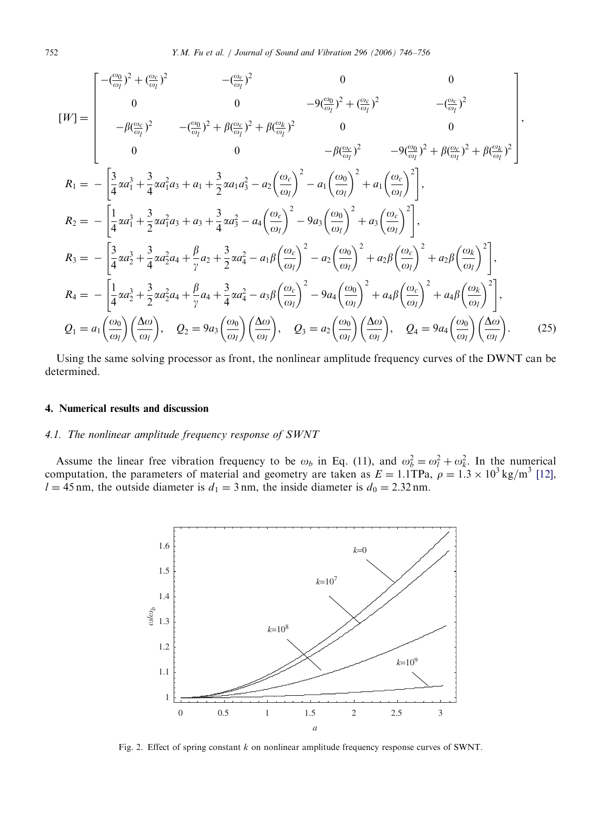<span id="page-6-0"></span>
$$
[W] = \begin{bmatrix} -( \frac{\omega_0}{\omega_I})^2 + (\frac{\omega_c}{\omega_I})^2 & -(\frac{\omega_c}{\omega_I})^2 & 0 & 0 \\ 0 & 0 & -9(\frac{\omega_0}{\omega_I})^2 + (\frac{\omega_c}{\omega_I})^2 & -(\frac{\omega_c}{\omega_I})^2 \\ -\beta(\frac{\omega_c}{\omega_I})^2 & -(\frac{\omega_0}{\omega_I})^2 + \beta(\frac{\omega_c}{\omega_I})^2 & 0 & 0 \\ 0 & 0 & -\beta(\frac{\omega_c}{\omega_I})^2 & -9(\frac{\omega_0}{\omega_I})^2 + \beta(\frac{\omega_c}{\omega_I})^2 + \beta(\frac{\omega_c}{\omega_I})^2 + \beta(\frac{\omega_c}{\omega_I})^2 \end{bmatrix},
$$
  
\n
$$
R_1 = -\begin{bmatrix} \frac{3}{4}\alpha a_1^3 + \frac{3}{4}\alpha a_1^2 a_3 + a_1 + \frac{3}{2}\alpha a_1 a_3^2 - a_2(\frac{\omega_c}{\omega_I})^2 - a_1(\frac{\omega_0}{\omega_I})^2 + a_1(\frac{\omega_c}{\omega_I})^2 \end{bmatrix},
$$
  
\n
$$
R_2 = -\begin{bmatrix} \frac{1}{4}\alpha a_1^3 + \frac{3}{2}\alpha a_1^2 a_3 + a_3 + \frac{3}{4}\alpha a_3^2 - a_4(\frac{\omega_c}{\omega_I})^2 - 9a_3(\frac{\omega_0}{\omega_I})^2 + a_3(\frac{\omega_c}{\omega_I})^2 \end{bmatrix},
$$
  
\n
$$
R_3 = -\begin{bmatrix} \frac{3}{4}\alpha a_2^3 + \frac{3}{4}\alpha a_2^2 a_4 + \frac{\beta}{\gamma} a_2 + \frac{3}{2}\alpha a_4^2 - a_1 \beta(\frac{\omega_c}{\omega_I})^2 - a_2(\frac{\omega_0}{\omega_I})^2 + a_2 \beta(\frac{\omega_c}{\omega_I})^2 + a_2 \beta(\frac{\omega_c}{\omega_I})^2 \end{bmatrix},
$$
  
\n
$$
R_4 = -\begin{bmatrix} \frac{1}{4}\alpha a_2^3 + \frac{3}{2}\alpha a_2^2 a_4 + \frac{\beta}{\gamma} a_4 + \frac{3}{4}\alpha a_4^2 - a_3 \beta(\frac{\omega_c}{\omega_I})^2 -
$$

Using the same solving processor as front, the nonlinear amplitude frequency curves of the DWNT can be determined.

# 4. Numerical results and discussion

# 4.1. The nonlinear amplitude frequency response of SWNT

Assume the linear free vibration frequency to be  $\omega_b$  in Eq. (11), and  $\omega_b^2 = \omega_l^2 + \omega_k^2$ . In the numerical computation, the parameters of material and geometry are taken as  $E = 1.1$  TPa,  $\rho = 1.3 \times 10^3$  kg/m<sup>3</sup> [\[12\],](#page-9-0)  $l = 45$  nm, the outside diameter is  $d_1 = 3$  nm, the inside diameter is  $d_0 = 2.32$  nm.



Fig. 2. Effect of spring constant k on nonlinear amplitude frequency response curves of SWNT.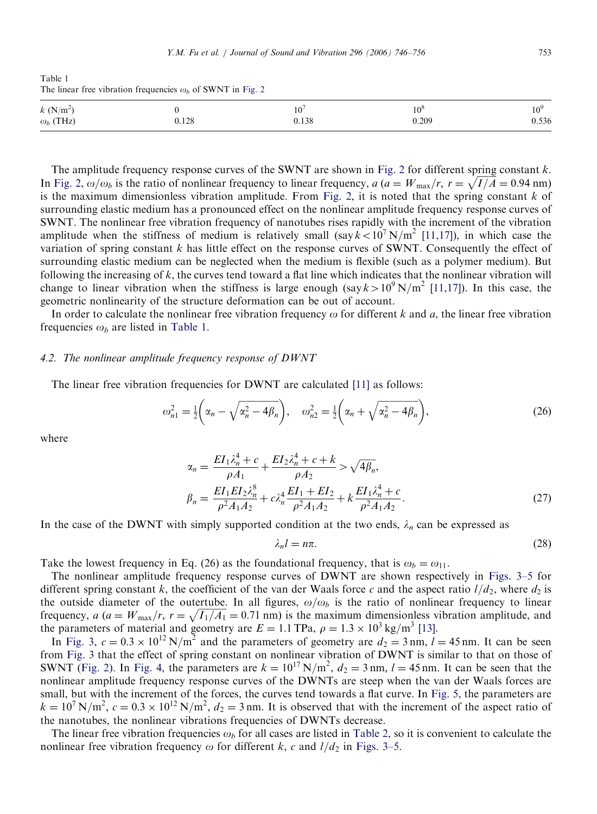Table 1 The linear free vibration frequencies  $\omega_b$  of SWNT in [Fig. 2](#page-6-0)

| $k(N/m^2)$       |       | $\Omega$ | 10 <sup>8</sup> | 10 <sup>9</sup> |
|------------------|-------|----------|-----------------|-----------------|
| $\omega_b$ (THz) | 0.128 | 0.138    | 0.209           | J.536           |

The amplitude frequency response curves of the SWNT are shown in [Fig. 2](#page-6-0) for different spring constant  $k$ . In [Fig. 2,](#page-6-0)  $\omega/\omega_b$  is the ratio of nonlinear frequency to linear frequency,  $a (a = W_{\text{max}}/r, r = \sqrt{I/A} = 0.94 \text{ nm})$ is the maximum dimensionless vibration amplitude. From [Fig. 2,](#page-6-0) it is noted that the spring constant  $k$  of surrounding elastic medium has a pronounced effect on the nonlinear amplitude frequency response curves of SWNT. The nonlinear free vibration frequency of nanotubes rises rapidly with the increment of the vibration amplitude when the stiffness of medium is relatively small  $(say \, k < 10^7 \text{ N/m}^2$  [\[11,17\]](#page-9-0)), in which case the variation of spring constant  $k$  has little effect on the response curves of SWNT. Consequently the effect of surrounding elastic medium can be neglected when the medium is flexible (such as a polymer medium). But following the increasing of  $k$ , the curves tend toward a flat line which indicates that the nonlinear vibration will change to linear vibration when the stiffness is large enough  $(say \, k > 10^9 \text{ N/m}^2$  [\[11,17\]\)](#page-9-0). In this case, the geometric nonlinearity of the structure deformation can be out of account.

In order to calculate the nonlinear free vibration frequency  $\omega$  for different k and a, the linear free vibration frequencies  $\omega_b$  are listed in Table 1.

## 4.2. The nonlinear amplitude frequency response of DWNT

The linear free vibration frequencies for DWNT are calculated [\[11\]](#page-9-0) as follows:

$$
\omega_{n1}^2 = \frac{1}{2} \left( \alpha_n - \sqrt{\alpha_n^2 - 4\beta_n} \right), \quad \omega_{n2}^2 = \frac{1}{2} \left( \alpha_n + \sqrt{\alpha_n^2 - 4\beta_n} \right), \tag{26}
$$

where

$$
\alpha_n = \frac{EI_1 \lambda_n^4 + c}{\rho A_1} + \frac{EI_2 \lambda_n^4 + c + k}{\rho A_2} > \sqrt{4\beta_n},
$$
\n
$$
\beta_n = \frac{EI_1 EI_2 \lambda_n^8}{\rho^2 A_1 A_2} + c \lambda_n^4 \frac{EI_1 + EI_2}{\rho^2 A_1 A_2} + k \frac{EI_1 \lambda_n^4 + c}{\rho^2 A_1 A_2}.
$$
\n(27)

In the case of the DWNT with simply supported condition at the two ends,  $\lambda_n$  can be expressed as

$$
\lambda_n l = n\pi. \tag{28}
$$

Take the lowest frequency in Eq. (26) as the foundational frequency, that is  $\omega_b = \omega_{11}$ .

The nonlinear amplitude frequency response curves of DWNT are shown respectively in [Figs. 3–5](#page-8-0) for different spring constant k, the coefficient of the van der Waals force c and the aspect ratio  $l/d_2$ , where  $d_2$  is the outside diameter of the outertube. In all figures,  $\omega/\omega_b$  is the ratio of nonlinear frequency to linear frequency,  $a (a = W_{\text{max}}/r, r = \sqrt{I_1/A_1} = 0.71 \text{ nm})$  is the maximum dimensionless vibration amplitude, and the parameters of material and geometry are  $E = 1.1$  TPa,  $\rho = 1.3 \times 10^3$  kg/m<sup>3</sup> [\[13\]](#page-9-0).

In [Fig. 3,](#page-8-0)  $c = 0.3 \times 10^{12} \text{ N/m}^2$  and the parameters of geometry are  $d_2 = 3 \text{ nm}$ ,  $l = 45 \text{ nm}$ . It can be seen from [Fig. 3](#page-8-0) that the effect of spring constant on nonlinear vibration of DWNT is similar to that on those of SWNT ([Fig. 2\)](#page-6-0). In [Fig. 4,](#page-8-0) the parameters are  $k = 10^{17} \text{ N/m}^2$ ,  $d_2 = 3 \text{ nm}$ ,  $l = 45 \text{ nm}$ . It can be seen that the nonlinear amplitude frequency response curves of the DWNTs are steep when the van der Waals forces are small, but with the increment of the forces, the curves tend towards a flat curve. In [Fig. 5](#page-9-0), the parameters are  $k = 10^7$  N/m<sup>2</sup>,  $c = 0.3 \times 10^{12}$  N/m<sup>2</sup>,  $d_2 = 3$  nm. It is observed that with the increment of the aspect ratio of the nanotubes, the nonlinear vibrations frequencies of DWNTs decrease.

The linear free vibration frequencies  $\omega_b$  for all cases are listed in [Table 2,](#page-9-0) so it is convenient to calculate the nonlinear free vibration frequency  $\omega$  for different k, c and  $1/d_2$  in [Figs. 3–5](#page-8-0).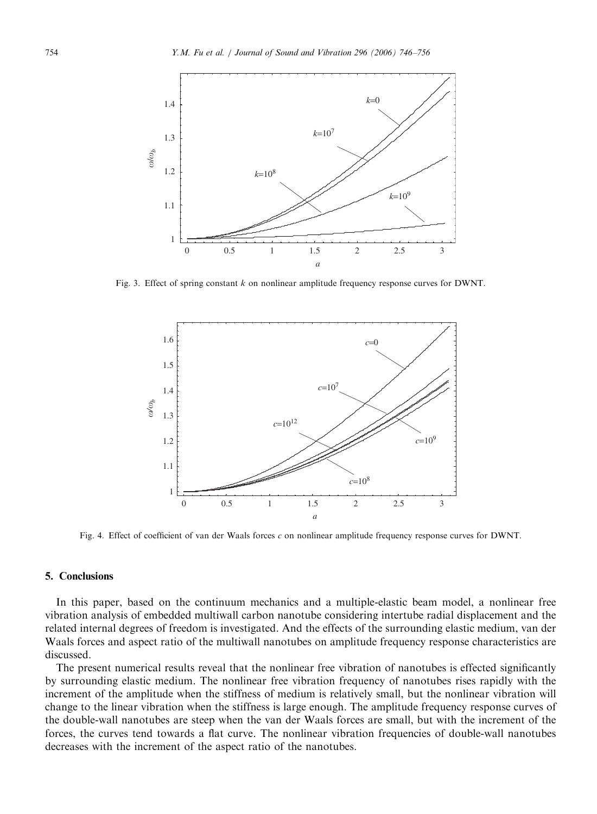<span id="page-8-0"></span>

Fig. 3. Effect of spring constant k on nonlinear amplitude frequency response curves for DWNT.



Fig. 4. Effect of coefficient of van der Waals forces c on nonlinear amplitude frequency response curves for DWNT.

#### 5. Conclusions

In this paper, based on the continuum mechanics and a multiple-elastic beam model, a nonlinear free vibration analysis of embedded multiwall carbon nanotube considering intertube radial displacement and the related internal degrees of freedom is investigated. And the effects of the surrounding elastic medium, van der Waals forces and aspect ratio of the multiwall nanotubes on amplitude frequency response characteristics are discussed.

The present numerical results reveal that the nonlinear free vibration of nanotubes is effected significantly by surrounding elastic medium. The nonlinear free vibration frequency of nanotubes rises rapidly with the increment of the amplitude when the stiffness of medium is relatively small, but the nonlinear vibration will change to the linear vibration when the stiffness is large enough. The amplitude frequency response curves of the double-wall nanotubes are steep when the van der Waals forces are small, but with the increment of the forces, the curves tend towards a flat curve. The nonlinear vibration frequencies of double-wall nanotubes decreases with the increment of the aspect ratio of the nanotubes.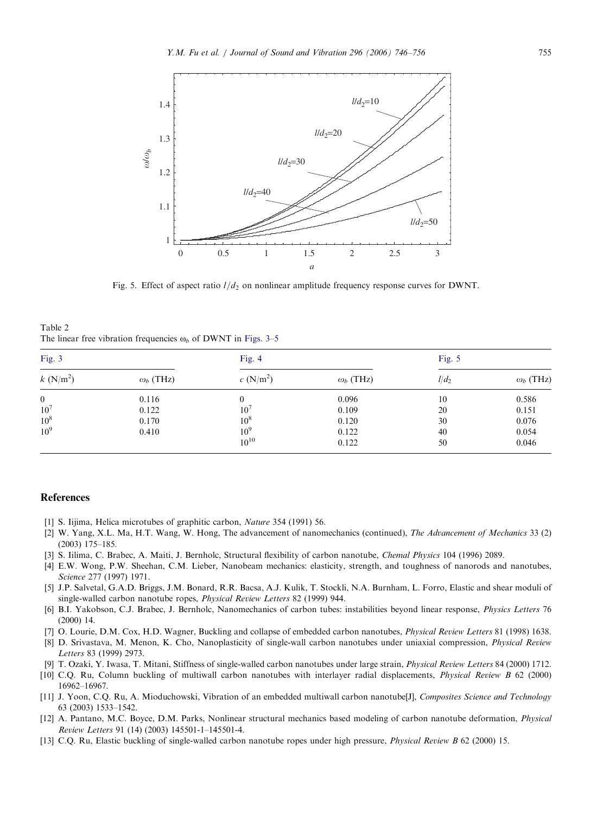<span id="page-9-0"></span>

Fig. 5. Effect of aspect ratio  $l/d_2$  on nonlinear amplitude frequency response curves for DWNT.

Table 2 The linear free vibration frequencies  $\omega_b$  of DWNT in [Figs. 3–5](#page-8-0)

| Fig. 3          |                  | Fig. $4$        |                  | Fig. $5$ |                  |
|-----------------|------------------|-----------------|------------------|----------|------------------|
| $k(N/m^2)$      | $\omega_b$ (THz) | $c(N/m^2)$      | $\omega_b$ (THz) | $l/d_2$  | $\omega_b$ (THz) |
| $\overline{0}$  | 0.116            |                 | 0.096            | 10       | 0.586            |
| 10 <sup>7</sup> | 0.122            | 10 <sup>7</sup> | 0.109            | 20       | 0.151            |
| $10^8\,$        | 0.170            | 10 <sup>8</sup> | 0.120            | 30       | 0.076            |
| 10 <sup>9</sup> | 0.410            | 10 <sup>9</sup> | 0.122            | 40       | 0.054            |
|                 |                  | $10^{10}$       | 0.122            | 50       | 0.046            |

#### References

- [1] S. Iijima, Helica microtubes of graphitic carbon, Nature 354 (1991) 56.
- [2] W. Yang, X.L. Ma, H.T. Wang, W. Hong, The advancement of nanomechanics (continued), The Advancement of Mechanics 33 (2) (2003) 175–185.
- [3] S. Iilima, C. Brabec, A. Maiti, J. Bernholc, Structural flexibility of carbon nanotube, Chemal Physics 104 (1996) 2089.
- [4] E.W. Wong, P.W. Sheehan, C.M. Lieber, Nanobeam mechanics: elasticity, strength, and toughness of nanorods and nanotubes, Science 277 (1997) 1971.
- [5] J.P. Salvetal, G.A.D. Briggs, J.M. Bonard, R.R. Bacsa, A.J. Kulik, T. Stockli, N.A. Burnham, L. Forro, Elastic and shear moduli of single-walled carbon nanotube ropes, Physical Review Letters 82 (1999) 944.
- [6] B.I. Yakobson, C.J. Brabec, J. Bernholc, Nanomechanics of carbon tubes: instabilities beyond linear response, Physics Letters 76 (2000) 14.
- [7] O. Lourie, D.M. Cox, H.D. Wagner, Buckling and collapse of embedded carbon nanotubes, Physical Review Letters 81 (1998) 1638.
- [8] D. Srivastava, M. Menon, K. Cho, Nanoplasticity of single-wall carbon nanotubes under uniaxial compression, *Physical Review* Letters 83 (1999) 2973.
- [9] T. Ozaki, Y. Iwasa, T. Mitani, Stiffness of single-walled carbon nanotubes under large strain, Physical Review Letters 84 (2000) 1712.
- [10] C.Q. Ru, Column buckling of multiwall carbon nanotubes with interlayer radial displacements, Physical Review B 62 (2000) 16962–16967.
- [11] J. Yoon, C.Q. Ru, A. Mioduchowski, Vibration of an embedded multiwall carbon nanotube[J], Composites Science and Technology 63 (2003) 1533–1542.
- [12] A. Pantano, M.C. Boyce, D.M. Parks, Nonlinear structural mechanics based modeling of carbon nanotube deformation, Physical Review Letters 91 (14) (2003) 145501-1–145501-4.
- [13] C.Q. Ru, Elastic buckling of single-walled carbon nanotube ropes under high pressure, Physical Review B 62 (2000) 15.